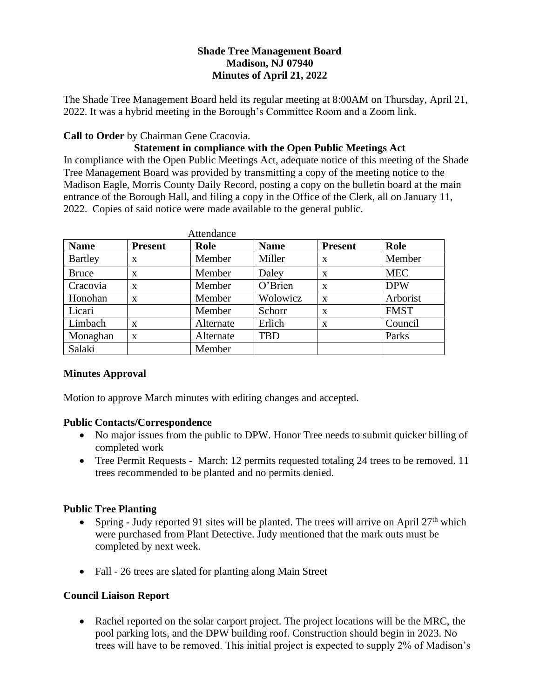## **Shade Tree Management Board Madison, NJ 07940 Minutes of April 21, 2022**

The Shade Tree Management Board held its regular meeting at 8:00AM on Thursday, April 21, 2022. It was a hybrid meeting in the Borough's Committee Room and a Zoom link.

### **Call to Order** by Chairman Gene Cracovia.

# **Statement in compliance with the Open Public Meetings Act**

In compliance with the Open Public Meetings Act, adequate notice of this meeting of the Shade Tree Management Board was provided by transmitting a copy of the meeting notice to the Madison Eagle, Morris County Daily Record, posting a copy on the bulletin board at the main entrance of the Borough Hall, and filing a copy in the Office of the Clerk, all on January 11, 2022. Copies of said notice were made available to the general public.

| Attendance     |                |           |             |                |             |
|----------------|----------------|-----------|-------------|----------------|-------------|
| <b>Name</b>    | <b>Present</b> | Role      | <b>Name</b> | <b>Present</b> | Role        |
| <b>Bartley</b> | X              | Member    | Miller      | X              | Member      |
| <b>Bruce</b>   | X              | Member    | Daley       | X              | <b>MEC</b>  |
| Cracovia       | X              | Member    | O'Brien     | X              | <b>DPW</b>  |
| Honohan        | X              | Member    | Wolowicz    | X              | Arborist    |
| Licari         |                | Member    | Schorr      | X              | <b>FMST</b> |
| Limbach        | X              | Alternate | Erlich      | X              | Council     |
| Monaghan       | $\mathbf x$    | Alternate | <b>TBD</b>  |                | Parks       |
| Salaki         |                | Member    |             |                |             |

### **Minutes Approval**

Motion to approve March minutes with editing changes and accepted.

### **Public Contacts/Correspondence**

- No major issues from the public to DPW. Honor Tree needs to submit quicker billing of completed work
- Tree Permit Requests March: 12 permits requested totaling 24 trees to be removed. 11 trees recommended to be planted and no permits denied.

### **Public Tree Planting**

- Spring Judy reported 91 sites will be planted. The trees will arrive on April  $27<sup>th</sup>$  which were purchased from Plant Detective. Judy mentioned that the mark outs must be completed by next week.
- Fall 26 trees are slated for planting along Main Street

# **Council Liaison Report**

• Rachel reported on the solar carport project. The project locations will be the MRC, the pool parking lots, and the DPW building roof. Construction should begin in 2023. No trees will have to be removed. This initial project is expected to supply 2% of Madison's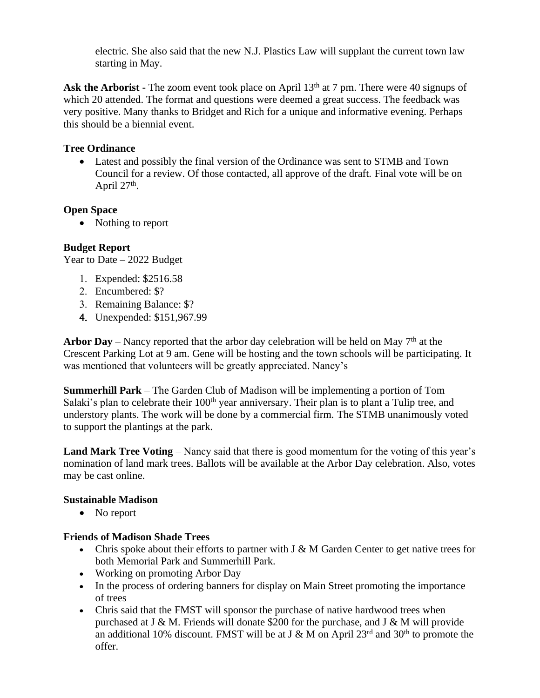electric. She also said that the new N.J. Plastics Law will supplant the current town law starting in May.

Ask the Arborist - The zoom event took place on April 13<sup>th</sup> at 7 pm. There were 40 signups of which 20 attended. The format and questions were deemed a great success. The feedback was very positive. Many thanks to Bridget and Rich for a unique and informative evening. Perhaps this should be a biennial event.

## **Tree Ordinance**

• Latest and possibly the final version of the Ordinance was sent to STMB and Town Council for a review. Of those contacted, all approve of the draft. Final vote will be on April  $27<sup>th</sup>$ .

## **Open Space**

• Nothing to report

# **Budget Report**

Year to Date – 2022 Budget

- Expended: \$2516.58
- 2. Encumbered: \$?
- 3. Remaining Balance: \$?
- Unexpended: \$151,967.99

**Arbor Day** – Nancy reported that the arbor day celebration will be held on May  $7<sup>th</sup>$  at the Crescent Parking Lot at 9 am. Gene will be hosting and the town schools will be participating. It was mentioned that volunteers will be greatly appreciated. Nancy's

**Summerhill Park** – The Garden Club of Madison will be implementing a portion of Tom Salaki's plan to celebrate their 100<sup>th</sup> year anniversary. Their plan is to plant a Tulip tree, and understory plants. The work will be done by a commercial firm. The STMB unanimously voted to support the plantings at the park.

**Land Mark Tree Voting** – Nancy said that there is good momentum for the voting of this year's nomination of land mark trees. Ballots will be available at the Arbor Day celebration. Also, votes may be cast online.

### **Sustainable Madison**

• No report

### **Friends of Madison Shade Trees**

- Chris spoke about their efforts to partner with  $J \& M$  Garden Center to get native trees for both Memorial Park and Summerhill Park.
- Working on promoting Arbor Day
- In the process of ordering banners for display on Main Street promoting the importance of trees
- Chris said that the FMST will sponsor the purchase of native hardwood trees when purchased at J & M. Friends will donate \$200 for the purchase, and J & M will provide an additional 10% discount. FMST will be at J & M on April  $23<sup>rd</sup>$  and  $30<sup>th</sup>$  to promote the offer.